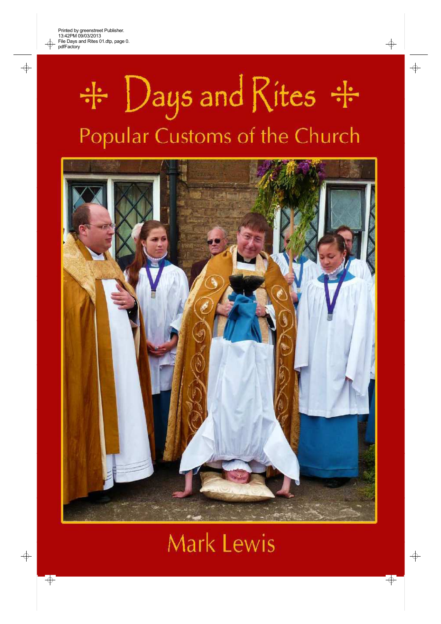⊕

 $\Rightarrow$ 



 $\Rightarrow$ 

 $\Rightarrow$ 

 $\overline{\bigoplus}$ 

 $\overline{\bigoplus}$ 



# Mark Lewis

 $\Rightarrow$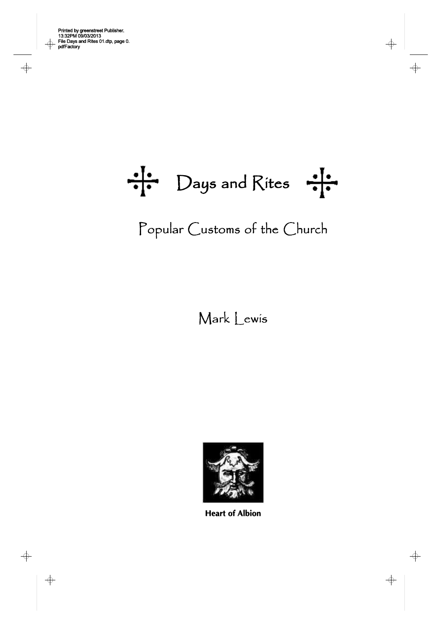$\overline{\varphi}$ 

 $\begin{array}{c}\n\Leftrightarrow \\
\hline\n\end{array}$ 

 $\Rightarrow$ 

 $\frac{1}{\cdot}$  Days and Rites

 $\Rightarrow$ 

 $\Rightarrow$ 

Popular Customs of the Church

# Mark Lewis



**Heart of Albion**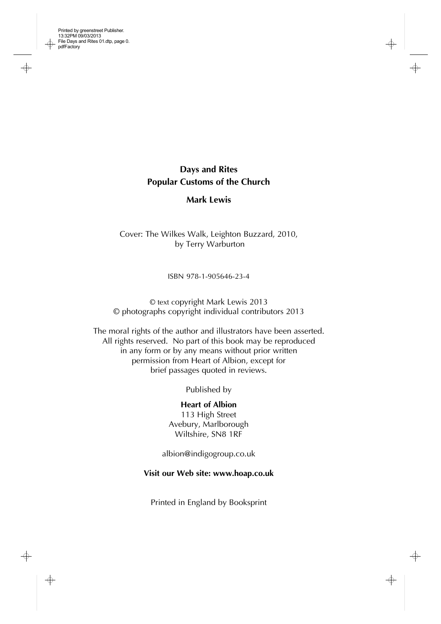

 $\rightarrow$ 

**Days and Rites Popular Customs of the Church**

**Mark Lewis**

Cover: The Wilkes Walk, Leighton Buzzard, 2010, by Terry Warburton

ISBN 978-1-905646-23-4

© text copyright Mark Lewis 2013 © photographs copyright individual contributors 2013

The moral rights of the author and illustrators have been asserted. All rights reserved. No part of this book may be reproduced in any form or by any means without prior written permission from Heart of Albion, except for brief passages quoted in reviews.

Published by

**Heart of Albion** 113 High Street Avebury, Marlborough Wiltshire, SN8 1RF

[albion@indigogroup.co.uk](mailto:albion@indigogroup.co.uk)

**Visit our Web site: [www.hoap.co.uk](http://www.hoap.co.uk)**

Printed in England by Booksprint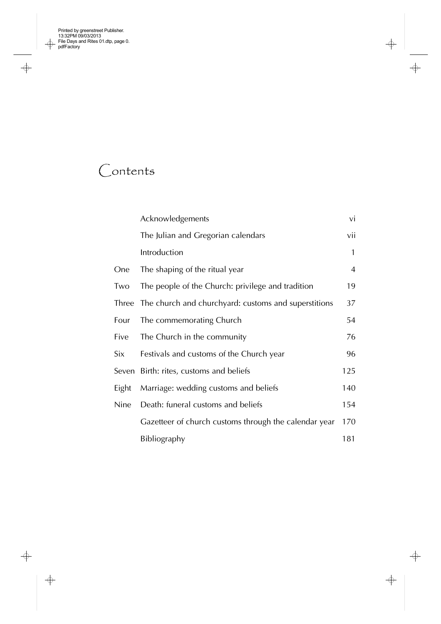$\Rightarrow$ 

 $\begin{array}{c|c}\n\end{array}$ 

# Contents

|       | Acknowledgements                                      | vi             |
|-------|-------------------------------------------------------|----------------|
|       | The Julian and Gregorian calendars                    | vii            |
|       | Introduction                                          | 1              |
| One   | The shaping of the ritual year                        | $\overline{4}$ |
| Two   | The people of the Church: privilege and tradition     | 19             |
| Three | The church and churchyard: customs and superstitions  | 37             |
| Four  | The commemorating Church                              | 54             |
| Five  | The Church in the community                           | 76             |
| Six   | Festivals and customs of the Church year              | 96             |
|       | Seven Birth: rites, customs and beliefs               | 125            |
| Eight | Marriage: wedding customs and beliefs                 | 140            |
| Nine  | Death: funeral customs and beliefs                    | 154            |
|       | Gazetteer of church customs through the calendar year | 170            |
|       | Bibliography                                          | 181            |

 $\ensuremath{\mathop{\not\!\!\!\!\! -- \!}\xspace}$ 

 $\Rightarrow$ 

 $\begin{array}{c|c|c} \hline \raisebox{-1em}{\footnotesize$\phi$} & & \\\hline \raisebox{-1em}{\footnotesize$\phi$} & & \\\hline \raisebox{-1em}{\footnotesize$\phi$} & & \\\hline \raisebox{-1em}{\footnotesize$\phi$} & & \\\hline \end{array}$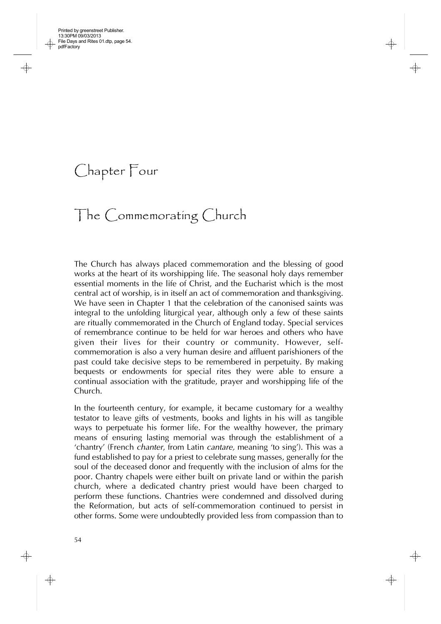Chapter Four

# The Commemorating Church

The Church has always placed commemoration and the blessing of good works at the heart of its worshipping life. The seasonal holy days remember essential moments in the life of Christ, and the Eucharist which is the most central act of worship, is in itself an act of commemoration and thanksgiving. We have seen in Chapter 1 that the celebration of the canonised saints was integral to the unfolding liturgical year, although only a few of these saints are ritually commemorated in the Church of England today. Special services of remembrance continue to be held for war heroes and others who have given their lives for their country or community. However, selfcommemoration is also a very human desire and affluent parishioners of the past could take decisive steps to be remembered in perpetuity. By making bequests or endowments for special rites they were able to ensure a continual association with the gratitude, prayer and worshipping life of the Church.

In the fourteenth century, for example, it became customary for a wealthy testator to leave gifts of vestments, books and lights in his will as tangible ways to perpetuate his former life. For the wealthy however, the primary means of ensuring lasting memorial was through the establishment of a 'chantry' (French *chanter*, from Latin *cantare,* meaning 'to sing'). This was a fund established to pay for a priest to celebrate sung masses, generally for the soul of the deceased donor and frequently with the inclusion of alms for the poor. Chantry chapels were either built on private land or within the parish church, where a dedicated chantry priest would have been charged to perform these functions. Chantries were condemned and dissolved during the Reformation, but acts of self-commemoration continued to persist in other forms. Some were undoubtedly provided less from compassion than to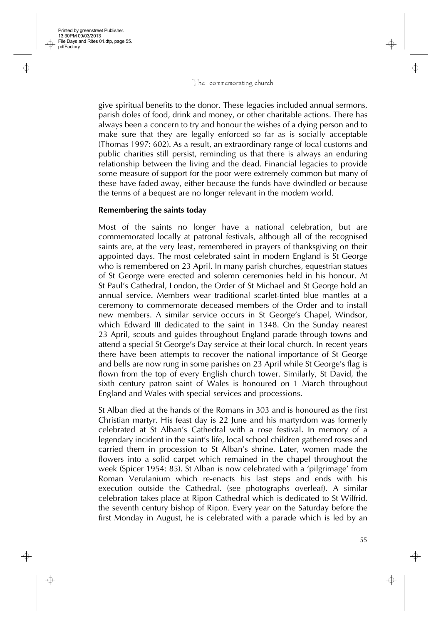give spiritual benefits to the donor. These legacies included annual sermons, parish doles of food, drink and money, or other charitable actions. There has always been a concern to try and honour the wishes of a dying person and to make sure that they are legally enforced so far as is socially acceptable (Thomas 1997: 602). As a result, an extraordinary range of local customs and public charities still persist, reminding us that there is always an enduring relationship between the living and the dead. Financial legacies to provide some measure of support for the poor were extremely common but many of these have faded away, either because the funds have dwindled or because the terms of a bequest are no longer relevant in the modern world.

### **Remembering the saints today**

Most of the saints no longer have a national celebration, but are commemorated locally at patronal festivals, although all of the recognised saints are, at the very least, remembered in prayers of thanksgiving on their appointed days. The most celebrated saint in modern England is St George who is remembered on 23 April. In many parish churches, equestrian statues of St George were erected and solemn ceremonies held in his honour. At St Paul's Cathedral, London, the Order of St Michael and St George hold an annual service. Members wear traditional scarlet-tinted blue mantles at a ceremony to commemorate deceased members of the Order and to install new members. A similar service occurs in St George's Chapel, Windsor, which Edward III dedicated to the saint in 1348. On the Sunday nearest 23 April, scouts and guides throughout England parade through towns and attend a special St George's Day service at their local church. In recent years there have been attempts to recover the national importance of St George and bells are now rung in some parishes on 23 April while St George's flag is flown from the top of every English church tower. Similarly, St David, the sixth century patron saint of Wales is honoured on 1 March throughout England and Wales with special services and processions.

St Alban died at the hands of the Romans in 303 and is honoured as the first Christian martyr. His feast day is 22 June and his martyrdom was formerly celebrated at St Alban's Cathedral with a rose festival. In memory of a legendary incident in the saint's life, local school children gathered roses and carried them in procession to St Alban's shrine. Later, women made the flowers into a solid carpet which remained in the chapel throughout the week (Spicer 1954: 85). St Alban is now celebrated with a 'pilgrimage' from Roman Verulanium which re-enacts his last steps and ends with his execution outside the Cathedral. (see photographs overleaf). A similar celebration takes place at Ripon Cathedral which is dedicated to St Wilfrid, the seventh century bishop of Ripon. Every year on the Saturday before the first Monday in August, he is celebrated with a parade which is led by an

55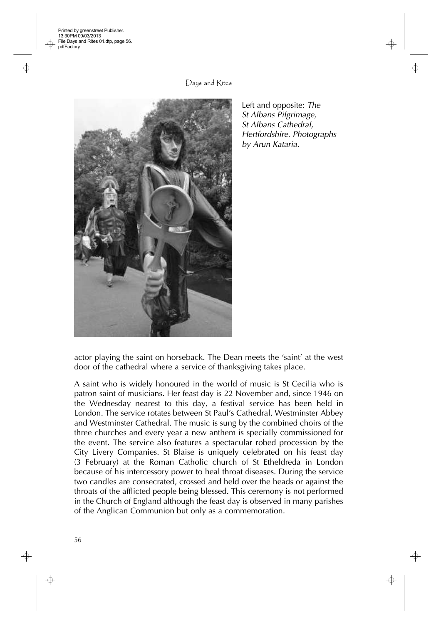Printed by greenstreet Publisher. 13:30PM 09/03/2013 File Days and Rites 01.dtp, page 56. pdfFactory

Days and Rites



Left and opposite: *The St Albans Pilgrimage, St Albans Cathedral, Hertfordshire. Photographs by Arun Kataria.*

actor playing the saint on horseback. The Dean meets the 'saint' at the west door of the cathedral where a service of thanksgiving takes place.

A saint who is widely honoured in the world of music is St Cecilia who is patron saint of musicians. Her feast day is 22 November and, since 1946 on the Wednesday nearest to this day, a festival service has been held in London. The service rotates between St Paul's Cathedral, Westminster Abbey and Westminster Cathedral. The music is sung by the combined choirs of the three churches and every year a new anthem is specially commissioned for the event. The service also features a spectacular robed procession by the City Livery Companies. St Blaise is uniquely celebrated on his feast day (3 February) at the Roman Catholic church of St Etheldreda in London because of his intercessory power to heal throat diseases. During the service two candles are consecrated, crossed and held over the heads or against the throats of the afflicted people being blessed. This ceremony is not performed in the Church of England although the feast day is observed in many parishes of the Anglican Communion but only as a commemoration.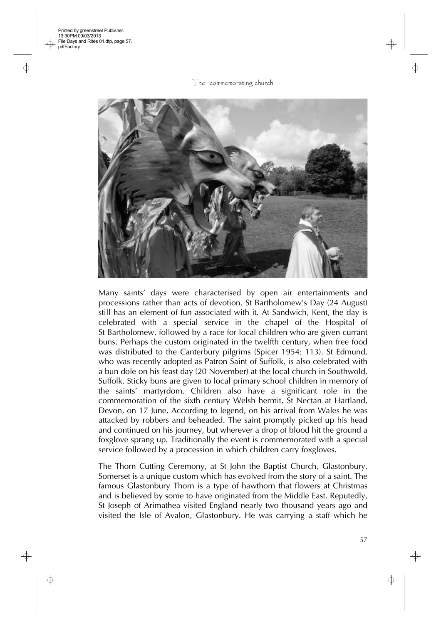

Many saints' days were characterised by open air entertainments and processions rather than acts of devotion. St Bartholomew's Day (24 August) still has an element of fun associated with it. At Sandwich, Kent, the day is celebrated with a special service in the chapel of the Hospital of St Bartholomew, followed by a race for local children who are given currant buns. Perhaps the custom originated in the twelfth century, when free food was distributed to the Canterbury pilgrims (Spicer 1954: 113). St Edmund, who was recently adopted as Patron Saint of Suffolk, is also celebrated with a bun dole on his feast day (20 November) at the local church in Southwold, Suffolk. Sticky buns are given to local primary school children in memory of the saints' martyrdom. Children also have a significant role in the commemoration of the sixth century Welsh hermit, St Nectan at Hartland, Devon, on 17 June. According to legend, on his arrival from Wales he was attacked by robbers and beheaded. The saint promptly picked up his head and continued on his journey, but wherever a drop of blood hit the ground a foxglove sprang up. Traditionally the event is commemorated with a special service followed by a procession in which children carry foxgloves.

The Thorn Cutting Ceremony, at St John the Baptist Church, Glastonbury, Somerset is a unique custom which has evolved from the story of a saint. The famous Glastonbury Thorn is a type of hawthorn that flowers at Christmas and is believed by some to have originated from the Middle East. Reputedly, St Joseph of Arimathea visited England nearly two thousand years ago and visited the Isle of Avalon, Glastonbury. He was carrying a staff which he

57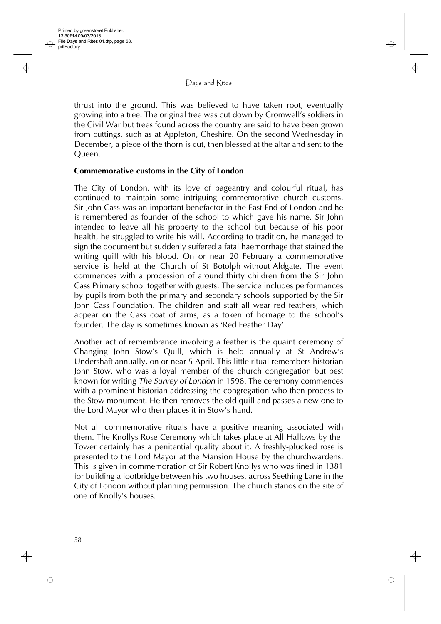thrust into the ground. This was believed to have taken root, eventually growing into a tree. The original tree was cut down by Cromwell's soldiers in the Civil War but trees found across the country are said to have been grown from cuttings, such as at Appleton, Cheshire. On the second Wednesday in December, a piece of the thorn is cut, then blessed at the altar and sent to the Queen.

# **Commemorative customs in the City of London**

The City of London, with its love of pageantry and colourful ritual, has continued to maintain some intriguing commemorative church customs. Sir John Cass was an important benefactor in the East End of London and he is remembered as founder of the school to which gave his name. Sir John intended to leave all his property to the school but because of his poor health, he struggled to write his will. According to tradition, he managed to sign the document but suddenly suffered a fatal haemorrhage that stained the writing quill with his blood. On or near 20 February a commemorative service is held at the Church of St Botolph-without-Aldgate. The event commences with a procession of around thirty children from the Sir John Cass Primary school together with guests. The service includes performances by pupils from both the primary and secondary schools supported by the Sir John Cass Foundation. The children and staff all wear red feathers, which appear on the Cass coat of arms, as a token of homage to the school's founder. The day is sometimes known as 'Red Feather Day'.

Another act of remembrance involving a feather is the quaint ceremony of Changing John Stow's Quill, which is held annually at St Andrew's Undershaft annually, on or near 5 April. This little ritual remembers historian John Stow, who was a loyal member of the church congregation but best known for writing *The Survey of London* in 1598. The ceremony commences with a prominent historian addressing the congregation who then process to the Stow monument. He then removes the old quill and passes a new one to the Lord Mayor who then places it in Stow's hand.

Not all commemorative rituals have a positive meaning associated with them. The Knollys Rose Ceremony which takes place at All Hallows-by-the-Tower certainly has a penitential quality about it. A freshly-plucked rose is presented to the Lord Mayor at the Mansion House by the churchwardens. This is given in commemoration of Sir Robert Knollys who was fined in 1381 for building a footbridge between his two houses, across Seething Lane in the City of London without planning permission. The church stands on the site of one of Knolly's houses.

58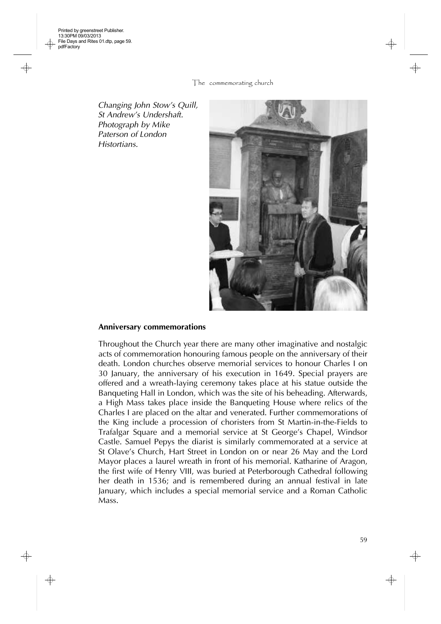€

The commemorating church

*Changing John Stow's Quill, St Andrew's Undershaft. Photograph by Mike Paterson of London Histortians.*



#### **Anniversary commemorations**

Throughout the Church year there are many other imaginative and nostalgic acts of commemoration honouring famous people on the anniversary of their death. London churches observe memorial services to honour Charles I on 30 January, the anniversary of his execution in 1649. Special prayers are offered and a wreath-laying ceremony takes place at his statue outside the Banqueting Hall in London, which was the site of his beheading. Afterwards, a High Mass takes place inside the Banqueting House where relics of the Charles I are placed on the altar and venerated. Further commemorations of the King include a procession of choristers from St Martin-in-the-Fields to Trafalgar Square and a memorial service at St George's Chapel, Windsor Castle. Samuel Pepys the diarist is similarly commemorated at a service at St Olave's Church, Hart Street in London on or near 26 May and the Lord Mayor places a laurel wreath in front of his memorial. Katharine of Aragon, the first wife of Henry VIII, was buried at Peterborough Cathedral following her death in 1536; and is remembered during an annual festival in late January, which includes a special memorial service and a Roman Catholic Mass.

⊕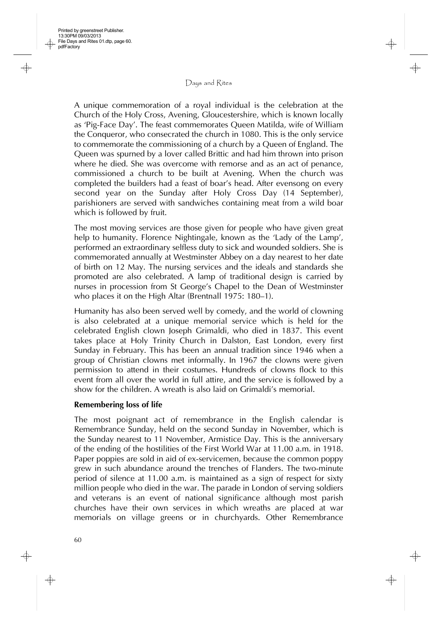A unique commemoration of a royal individual is the celebration at the Church of the Holy Cross, Avening, Gloucestershire, which is known locally as 'Pig-Face Day'. The feast commemorates Queen Matilda, wife of William the Conqueror, who consecrated the church in 1080. This is the only service to commemorate the commissioning of a church by a Queen of England. The Queen was spurned by a lover called Brittic and had him thrown into prison where he died. She was overcome with remorse and as an act of penance, commissioned a church to be built at Avening. When the church was completed the builders had a feast of boar's head. After evensong on every second year on the Sunday after Holy Cross Day (14 September), parishioners are served with sandwiches containing meat from a wild boar which is followed by fruit.

The most moving services are those given for people who have given great help to humanity. Florence Nightingale, known as the 'Lady of the Lamp', performed an extraordinary selfless duty to sick and wounded soldiers. She is commemorated annually at Westminster Abbey on a day nearest to her date of birth on 12 May. The nursing services and the ideals and standards she promoted are also celebrated. A lamp of traditional design is carried by nurses in procession from St George's Chapel to the Dean of Westminster who places it on the High Altar (Brentnall 1975: 180–1).

Humanity has also been served well by comedy, and the world of clowning is also celebrated at a unique memorial service which is held for the celebrated English clown Joseph Grimaldi, who died in 1837. This event takes place at Holy Trinity Church in Dalston, East London, every first Sunday in February. This has been an annual tradition since 1946 when a group of Christian clowns met informally. In 1967 the clowns were given permission to attend in their costumes. Hundreds of clowns flock to this event from all over the world in full attire, and the service is followed by a show for the children. A wreath is also laid on Grimaldi's memorial.

### **Remembering loss of life**

The most poignant act of remembrance in the English calendar is Remembrance Sunday, held on the second Sunday in November, which is the Sunday nearest to 11 November, Armistice Day. This is the anniversary of the ending of the hostilities of the First World War at 11.00 a.m. in 1918. Paper poppies are sold in aid of ex-servicemen, because the common poppy grew in such abundance around the trenches of Flanders. The two-minute period of silence at 11.00 a.m. is maintained as a sign of respect for sixty million people who died in the war. The parade in London of serving soldiers and veterans is an event of national significance although most parish churches have their own services in which wreaths are placed at war memorials on village greens or in churchyards. Other Remembrance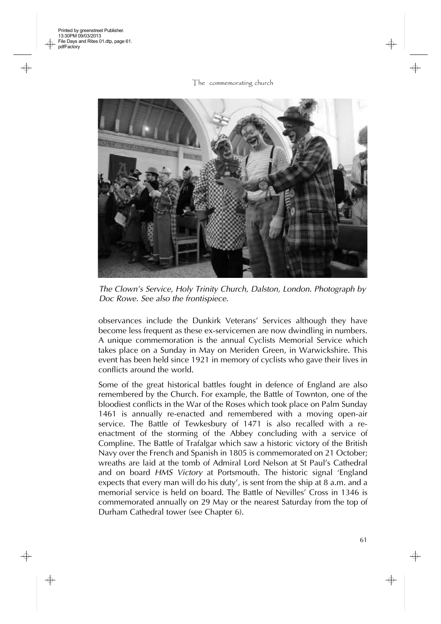

*The Clown's Service, Holy Trinity Church, Dalston, London. Photograph by Doc Rowe. See also the frontispiece.*

observances include the Dunkirk Veterans' Services although they have become less frequent as these ex-servicemen are now dwindling in numbers. A unique commemoration is the annual Cyclists Memorial Service which takes place on a Sunday in May on Meriden Green, in Warwickshire. This event has been held since 1921 in memory of cyclists who gave their lives in conflicts around the world.

Some of the great historical battles fought in defence of England are also remembered by the Church. For example, the Battle of Townton, one of the bloodiest conflicts in the War of the Roses which took place on Palm Sunday 1461 is annually re-enacted and remembered with a moving open-air service. The Battle of Tewkesbury of 1471 is also recalled with a reenactment of the storming of the Abbey concluding with a service of Compline. The Battle of Trafalgar which saw a historic victory of the British Navy over the French and Spanish in 1805 is commemorated on 21 October; wreaths are laid at the tomb of Admiral Lord Nelson at St Paul's Cathedral and on board *HMS Victory* at Portsmouth. The historic signal 'England expects that every man will do his duty', is sent from the ship at 8 a.m. and a memorial service is held on board. The Battle of Nevilles' Cross in 1346 is commemorated annually on 29 May or the nearest Saturday from the top of Durham Cathedral tower (see Chapter 6).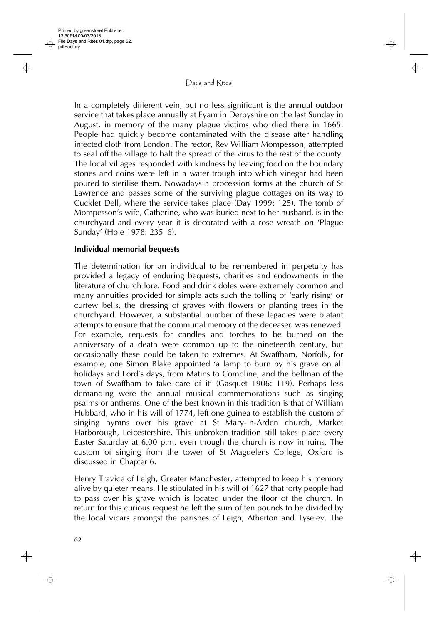In a completely different vein, but no less significant is the annual outdoor service that takes place annually at Eyam in Derbyshire on the last Sunday in August, in memory of the many plague victims who died there in 1665. People had quickly become contaminated with the disease after handling infected cloth from London. The rector, Rev William Mompesson, attempted to seal off the village to halt the spread of the virus to the rest of the county. The local villages responded with kindness by leaving food on the boundary stones and coins were left in a water trough into which vinegar had been poured to sterilise them. Nowadays a procession forms at the church of St Lawrence and passes some of the surviving plague cottages on its way to Cucklet Dell, where the service takes place (Day 1999: 125). The tomb of Mompesson's wife, Catherine, who was buried next to her husband, is in the churchyard and every year it is decorated with a rose wreath on 'Plague Sunday' (Hole 1978: 235–6).

#### **Individual memorial bequests**

The determination for an individual to be remembered in perpetuity has provided a legacy of enduring bequests, charities and endowments in the literature of church lore. Food and drink doles were extremely common and many annuities provided for simple acts such the tolling of 'early rising' or curfew bells, the dressing of graves with flowers or planting trees in the churchyard. However, a substantial number of these legacies were blatant attempts to ensure that the communal memory of the deceased was renewed. For example, requests for candles and torches to be burned on the anniversary of a death were common up to the nineteenth century, but occasionally these could be taken to extremes. At Swaffham, Norfolk, for example, one Simon Blake appointed 'a lamp to burn by his grave on all holidays and Lord's days, from Matins to Compline, and the bellman of the town of Swaffham to take care of it' (Gasquet 1906: 119). Perhaps less demanding were the annual musical commemorations such as singing psalms or anthems. One of the best known in this tradition is that of William Hubbard, who in his will of 1774, left one guinea to establish the custom of singing hymns over his grave at St Mary-in-Arden church, Market Harborough, Leicestershire. This unbroken tradition still takes place every Easter Saturday at 6.00 p.m. even though the church is now in ruins. The custom of singing from the tower of St Magdelens College, Oxford is discussed in Chapter 6.

Henry Travice of Leigh, Greater Manchester, attempted to keep his memory alive by quieter means. He stipulated in his will of 1627 that forty people had to pass over his grave which is located under the floor of the church. In return for this curious request he left the sum of ten pounds to be divided by the local vicars amongst the parishes of Leigh, Atherton and Tyseley. The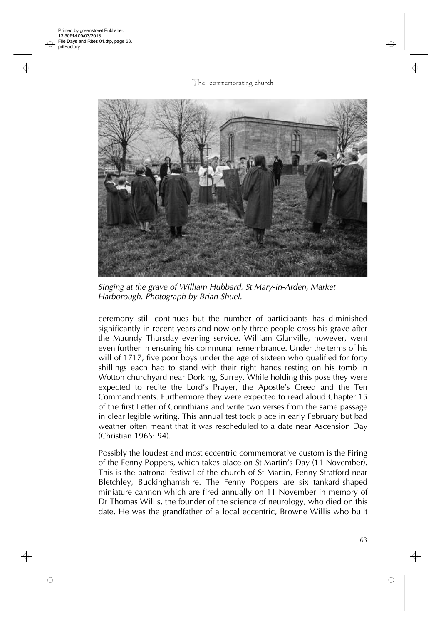

*Singing at the grave of William Hubbard, St Mary-in-Arden, Market Harborough. Photograph by Brian Shuel.*

ceremony still continues but the number of participants has diminished significantly in recent years and now only three people cross his grave after the Maundy Thursday evening service. William Glanville, however, went even further in ensuring his communal remembrance. Under the terms of his will of 1717, five poor boys under the age of sixteen who qualified for forty shillings each had to stand with their right hands resting on his tomb in Wotton churchyard near Dorking, Surrey. While holding this pose they were expected to recite the Lord's Prayer, the Apostle's Creed and the Ten Commandments. Furthermore they were expected to read aloud Chapter 15 of the first Letter of Corinthians and write two verses from the same passage in clear legible writing. This annual test took place in early February but bad weather often meant that it was rescheduled to a date near Ascension Day (Christian 1966: 94).

Possibly the loudest and most eccentric commemorative custom is the Firing of the Fenny Poppers, which takes place on St Martin's Day (11 November). This is the patronal festival of the church of St Martin, Fenny Stratford near Bletchley, Buckinghamshire. The Fenny Poppers are six tankard-shaped miniature cannon which are fired annually on 11 November in memory of Dr Thomas Willis, the founder of the science of neurology, who died on this date. He was the grandfather of a local eccentric, Browne Willis who built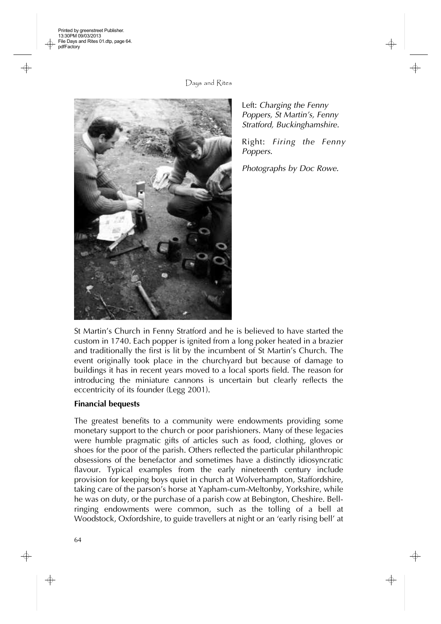Printed by greenstreet Publisher. 13:30PM 09/03/2013 File Days and Rites 01.dtp, page 64. pdfFactory

Days and Rites

Left: *Charging the Fenny Poppers, St Martin's, Fenny Stratford, Buckinghamshire.*

Right: *Firing the Fenny Poppers.* 

*Photographs by Doc Rowe.*

St Martin's Church in Fenny Stratford and he is believed to have started the custom in 1740. Each popper is ignited from a long poker heated in a brazier and traditionally the first is lit by the incumbent of St Martin's Church. The event originally took place in the churchyard but because of damage to buildings it has in recent years moved to a local sports field. The reason for introducing the miniature cannons is uncertain but clearly reflects the eccentricity of its founder (Legg 2001).

# **Financial bequests**

The greatest benefits to a community were endowments providing some monetary support to the church or poor parishioners. Many of these legacies were humble pragmatic gifts of articles such as food, clothing, gloves or shoes for the poor of the parish. Others reflected the particular philanthropic obsessions of the benefactor and sometimes have a distinctly idiosyncratic flavour. Typical examples from the early nineteenth century include provision for keeping boys quiet in church at Wolverhampton, Staffordshire, taking care of the parson's horse at Yapham-cum-Meltonby, Yorkshire, while he was on duty, or the purchase of a parish cow at Bebington, Cheshire. Bellringing endowments were common, such as the tolling of a bell at Woodstock, Oxfordshire, to guide travellers at night or an 'early rising bell' at

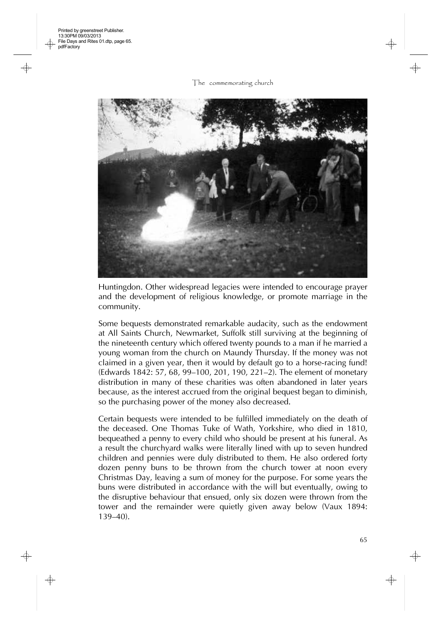The commemorating church



Huntingdon. Other widespread legacies were intended to encourage prayer and the development of religious knowledge, or promote marriage in the community.

Some bequests demonstrated remarkable audacity, such as the endowment at All Saints Church, Newmarket, Suffolk still surviving at the beginning of the nineteenth century which offered twenty pounds to a man if he married a young woman from the church on Maundy Thursday. If the money was not claimed in a given year, then it would by default go to a horse-racing fund! (Edwards 1842: 57, 68, 99–100, 201, 190, 221–2). The element of monetary distribution in many of these charities was often abandoned in later years because, as the interest accrued from the original bequest began to diminish, so the purchasing power of the money also decreased.

Certain bequests were intended to be fulfilled immediately on the death of the deceased. One Thomas Tuke of Wath, Yorkshire, who died in 1810, bequeathed a penny to every child who should be present at his funeral. As a result the churchyard walks were literally lined with up to seven hundred children and pennies were duly distributed to them. He also ordered forty dozen penny buns to be thrown from the church tower at noon every Christmas Day, leaving a sum of money for the purpose. For some years the buns were distributed in accordance with the will but eventually, owing to the disruptive behaviour that ensued, only six dozen were thrown from the tower and the remainder were quietly given away below (Vaux 1894: 139–40).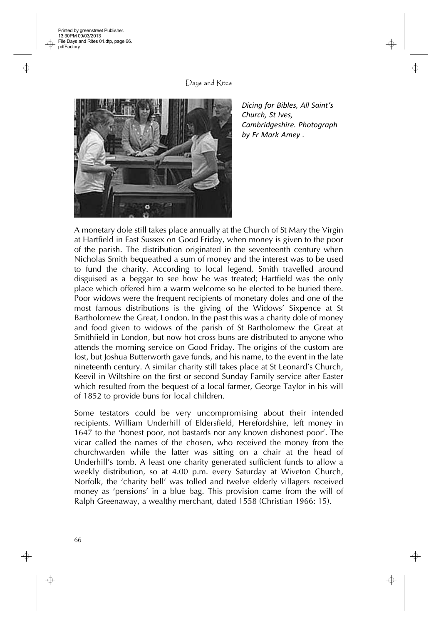Printed by greenstreet Publisher. 13:30PM 09/03/2013 File Days and Rites 01.dtp, page 66. pdfFactory

Days and Rites



*Dicing for Bibles, All Saint's Church, St Ives, Cambridgeshire. Photograph by Fr Mark Amey .*

A monetary dole still takes place annually at the Church of St Mary the Virgin at Hartfield in East Sussex on Good Friday, when money is given to the poor of the parish. The distribution originated in the seventeenth century when Nicholas Smith bequeathed a sum of money and the interest was to be used to fund the charity. According to local legend, Smith travelled around disguised as a beggar to see how he was treated; Hartfield was the only place which offered him a warm welcome so he elected to be buried there. Poor widows were the frequent recipients of monetary doles and one of the most famous distributions is the giving of the Widows' Sixpence at St Bartholomew the Great, London. In the past this was a charity dole of money and food given to widows of the parish of St Bartholomew the Great at Smithfield in London, but now hot cross buns are distributed to anyone who attends the morning service on Good Friday. The origins of the custom are lost, but Joshua Butterworth gave funds, and his name, to the event in the late nineteenth century. A similar charity still takes place at St Leonard's Church, Keevil in Wiltshire on the first or second Sunday Family service after Easter which resulted from the bequest of a local farmer, George Taylor in his will of 1852 to provide buns for local children.

Some testators could be very uncompromising about their intended recipients. William Underhill of Eldersfield, Herefordshire, left money in 1647 to the 'honest poor, not bastards nor any known dishonest poor'. The vicar called the names of the chosen, who received the money from the churchwarden while the latter was sitting on a chair at the head of Underhill's tomb. A least one charity generated sufficient funds to allow a weekly distribution, so at 4.00 p.m. every Saturday at Wiveton Church, Norfolk, the 'charity bell' was tolled and twelve elderly villagers received money as 'pensions' in a blue bag. This provision came from the will of Ralph Greenaway, a wealthy merchant, dated 1558 (Christian 1966: 15).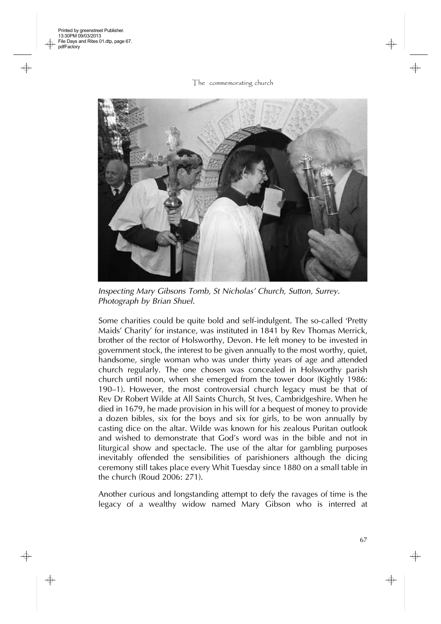

*Inspecting Mary Gibsons Tomb, St Nicholas' Church, Sutton, Surrey. Photograph by Brian Shuel.*

Some charities could be quite bold and self-indulgent. The so-called 'Pretty Maids' Charity' for instance, was instituted in 1841 by Rev Thomas Merrick, brother of the rector of Holsworthy, Devon. He left money to be invested in government stock, the interest to be given annually to the most worthy, quiet, handsome, single woman who was under thirty years of age and attended church regularly. The one chosen was concealed in Holsworthy parish church until noon, when she emerged from the tower door (Kightly 1986: 190–1). However, the most controversial church legacy must be that of Rev Dr Robert Wilde at All Saints Church, St Ives, Cambridgeshire. When he died in 1679, he made provision in his will for a bequest of money to provide a dozen bibles, six for the boys and six for girls, to be won annually by casting dice on the altar. Wilde was known for his zealous Puritan outlook and wished to demonstrate that God's word was in the bible and not in liturgical show and spectacle. The use of the altar for gambling purposes inevitably offended the sensibilities of parishioners although the dicing ceremony still takes place every Whit Tuesday since 1880 on a small table in the church (Roud 2006: 271).

Another curious and longstanding attempt to defy the ravages of time is the legacy of a wealthy widow named Mary Gibson who is interred at

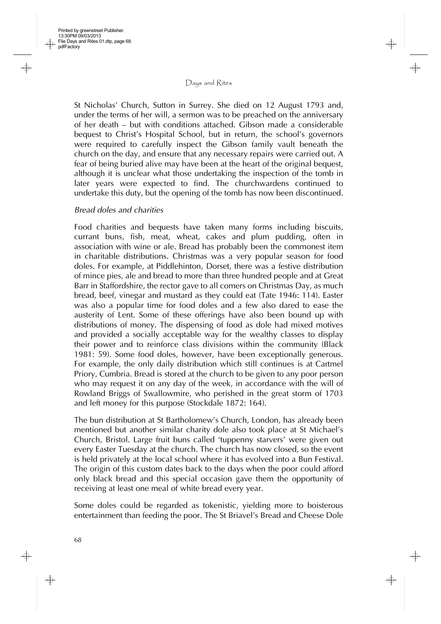St Nicholas' Church, Sutton in Surrey. She died on 12 August 1793 and, under the terms of her will, a sermon was to be preached on the anniversary of her death – but with conditions attached. Gibson made a considerable bequest to Christ's Hospital School, but in return, the school's governors were required to carefully inspect the Gibson family vault beneath the church on the day, and ensure that any necessary repairs were carried out. A fear of being buried alive may have been at the heart of the original bequest, although it is unclear what those undertaking the inspection of the tomb in later years were expected to find. The churchwardens continued to undertake this duty, but the opening of the tomb has now been discontinued.

# *Bread doles and charities*

Food charities and bequests have taken many forms including biscuits, currant buns, fish, meat, wheat, cakes and plum pudding, often in association with wine or ale. Bread has probably been the commonest item in charitable distributions. Christmas was a very popular season for food doles. For example, at Piddlehinton, Dorset, there was a festive distribution of mince pies, ale and bread to more than three hundred people and at Great Barr in Staffordshire, the rector gave to all comers on Christmas Day, as much bread, beef, vinegar and mustard as they could eat (Tate 1946: 114). Easter was also a popular time for food doles and a few also dared to ease the austerity of Lent. Some of these offerings have also been bound up with distributions of money. The dispensing of food as dole had mixed motives and provided a socially acceptable way for the wealthy classes to display their power and to reinforce class divisions within the community (Black 1981: 59). Some food doles, however, have been exceptionally generous. For example, the only daily distribution which still continues is at Cartmel Priory, Cumbria. Bread is stored at the church to be given to any poor person who may request it on any day of the week, in accordance with the will of Rowland Briggs of Swallowmire, who perished in the great storm of 1703 and left money for this purpose (Stockdale 1872: 164).

The bun distribution at St Bartholomew's Church, London, has already been mentioned but another similar charity dole also took place at St Michael's Church, Bristol. Large fruit buns called 'tuppenny starvers' were given out every Easter Tuesday at the church. The church has now closed, so the event is held privately at the local school where it has evolved into a Bun Festival. The origin of this custom dates back to the days when the poor could afford only black bread and this special occasion gave them the opportunity of receiving at least one meal of white bread every year.

Some doles could be regarded as tokenistic, yielding more to boisterous entertainment than feeding the poor. The St Briavel's Bread and Cheese Dole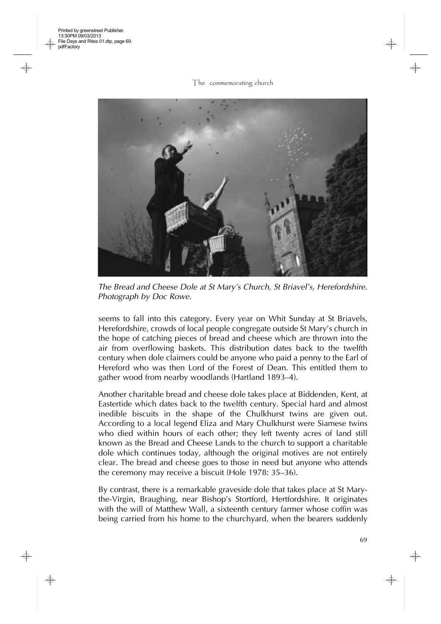The commemorating church



*The Bread and Cheese Dole at St Mary's Church, St Briavel's, Herefordshire. Photograph by Doc Rowe.*

seems to fall into this category. Every year on Whit Sunday at St Briavels, Herefordshire, crowds of local people congregate outside St Mary's church in the hope of catching pieces of bread and cheese which are thrown into the air from overflowing baskets. This distribution dates back to the twelfth century when dole claimers could be anyone who paid a penny to the Earl of Hereford who was then Lord of the Forest of Dean. This entitled them to gather wood from nearby woodlands (Hartland 1893–4).

Another charitable bread and cheese dole takes place at Biddenden, Kent, at Eastertide which dates back to the twelfth century. Special hard and almost inedible biscuits in the shape of the Chulkhurst twins are given out. According to a local legend Eliza and Mary Chulkhurst were Siamese twins who died within hours of each other; they left twenty acres of land still known as the Bread and Cheese Lands to the church to support a charitable dole which continues today, although the original motives are not entirely clear. The bread and cheese goes to those in need but anyone who attends the ceremony may receive a biscuit (Hole 1978: 35–36).

By contrast, there is a remarkable graveside dole that takes place at St Marythe-Virgin, Braughing, near Bishop's Stortford, Hertfordshire. It originates with the will of Matthew Wall, a sixteenth century farmer whose coffin was being carried from his home to the churchyard, when the bearers suddenly

69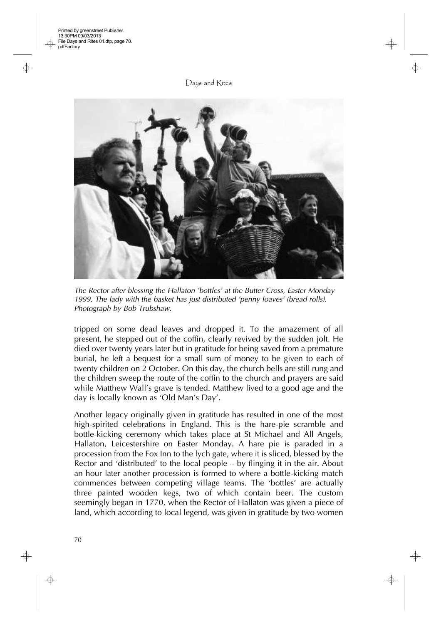

*The Rector after blessing the Hallaton 'bottles' at the Butter Cross, Easter Monday 1999. The lady with the basket has just distributed 'penny loaves' (bread rolls). Photograph by Bob Trubshaw.*

tripped on some dead leaves and dropped it. To the amazement of all present, he stepped out of the coffin, clearly revived by the sudden jolt. He died over twenty years later but in gratitude for being saved from a premature burial, he left a bequest for a small sum of money to be given to each of twenty children on 2 October. On this day, the church bells are still rung and the children sweep the route of the coffin to the church and prayers are said while Matthew Wall's grave is tended. Matthew lived to a good age and the day is locally known as 'Old Man's Day'.

Another legacy originally given in gratitude has resulted in one of the most high-spirited celebrations in England. This is the hare-pie scramble and bottle-kicking ceremony which takes place at St Michael and All Angels, Hallaton, Leicestershire on Easter Monday. A hare pie is paraded in a procession from the Fox Inn to the lych gate, where it is sliced, blessed by the Rector and 'distributed' to the local people – by flinging it in the air. About an hour later another procession is formed to where a bottle-kicking match commences between competing village teams. The 'bottles' are actually three painted wooden kegs, two of which contain beer. The custom seemingly began in 1770, when the Rector of Hallaton was given a piece of land, which according to local legend, was given in gratitude by two women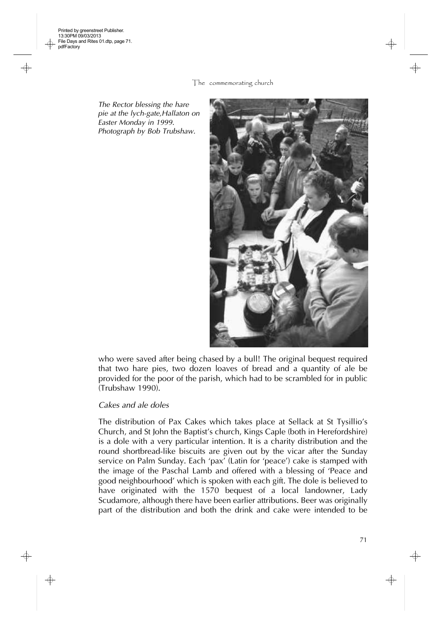*The Rector blessing the hare pie at the lych-gate,Hallaton on Easter Monday in 1999. Photograph by Bob Trubshaw.*



who were saved after being chased by a bull! The original bequest required that two hare pies, two dozen loaves of bread and a quantity of ale be provided for the poor of the parish, which had to be scrambled for in public (Trubshaw 1990).

#### *Cakes and ale doles*

The distribution of Pax Cakes which takes place at Sellack at St Tysillio's Church, and St John the Baptist's church, Kings Caple (both in Herefordshire) is a dole with a very particular intention. It is a charity distribution and the round shortbread-like biscuits are given out by the vicar after the Sunday service on Palm Sunday. Each 'pax' (Latin for 'peace') cake is stamped with the image of the Paschal Lamb and offered with a blessing of 'Peace and good neighbourhood' which is spoken with each gift. The dole is believed to have originated with the 1570 bequest of a local landowner, Lady Scudamore, although there have been earlier attributions. Beer was originally part of the distribution and both the drink and cake were intended to be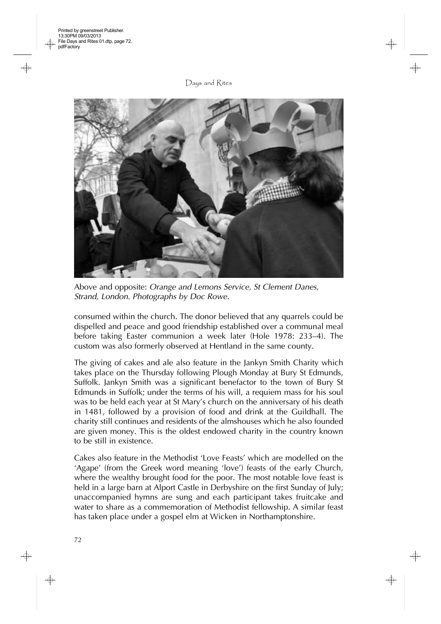

Above and opposite: *Orange and Lemons Service, St Clement Danes, Strand, London. Photographs by Doc Rowe.*

consumed within the church. The donor believed that any quarrels could be dispelled and peace and good friendship established over a communal meal before taking Easter communion a week later (Hole 1978: 233–4). The custom was also formerly observed at Hentland in the same county.

The giving of cakes and ale also feature in the Jankyn Smith Charity which takes place on the Thursday following Plough Monday at Bury St Edmunds, Suffolk. Jankyn Smith was a significant benefactor to the town of Bury St Edmunds in Suffolk; under the terms of his will, a requiem mass for his soul was to be held each year at St Mary's church on the anniversary of his death in 1481, followed by a provision of food and drink at the Guildhall. The charity still continues and residents of the almshouses which he also founded are given money. This is the oldest endowed charity in the country known to be still in existence.

Cakes also feature in the Methodist 'Love Feasts' which are modelled on the 'Agape' (from the Greek word meaning 'love') feasts of the early Church, where the wealthy brought food for the poor. The most notable love feast is held in a large barn at Alport Castle in Derbyshire on the first Sunday of July; unaccompanied hymns are sung and each participant takes fruitcake and water to share as a commemoration of Methodist fellowship. A similar feast has taken place under a gospel elm at Wicken in Northamptonshire.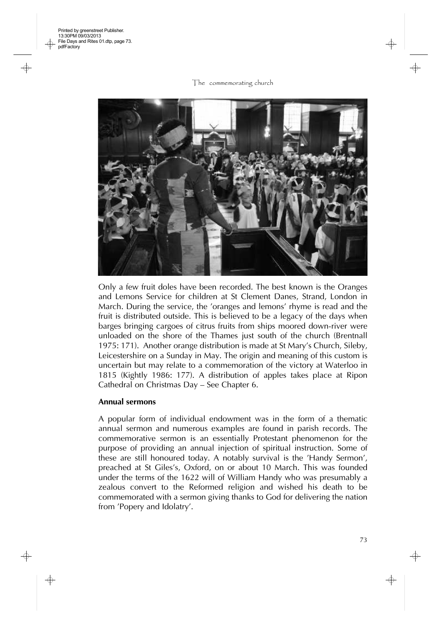

Only a few fruit doles have been recorded. The best known is the Oranges and Lemons Service for children at St Clement Danes, Strand, London in March. During the service, the 'oranges and lemons' rhyme is read and the fruit is distributed outside. This is believed to be a legacy of the days when barges bringing cargoes of citrus fruits from ships moored down-river were unloaded on the shore of the Thames just south of the church (Brentnall 1975: 171). Another orange distribution is made at St Mary's Church, Sileby, Leicestershire on a Sunday in May. The origin and meaning of this custom is uncertain but may relate to a commemoration of the victory at Waterloo in 1815 (Kightly 1986: 177). A distribution of apples takes place at Ripon Cathedral on Christmas Day – See Chapter 6.

### **Annual sermons**

A popular form of individual endowment was in the form of a thematic annual sermon and numerous examples are found in parish records. The commemorative sermon is an essentially Protestant phenomenon for the purpose of providing an annual injection of spiritual instruction. Some of these are still honoured today. A notably survival is the 'Handy Sermon', preached at St Giles's, Oxford, on or about 10 March. This was founded under the terms of the 1622 will of William Handy who was presumably a zealous convert to the Reformed religion and wished his death to be commemorated with a sermon giving thanks to God for delivering the nation from 'Popery and Idolatry'.

73

⊕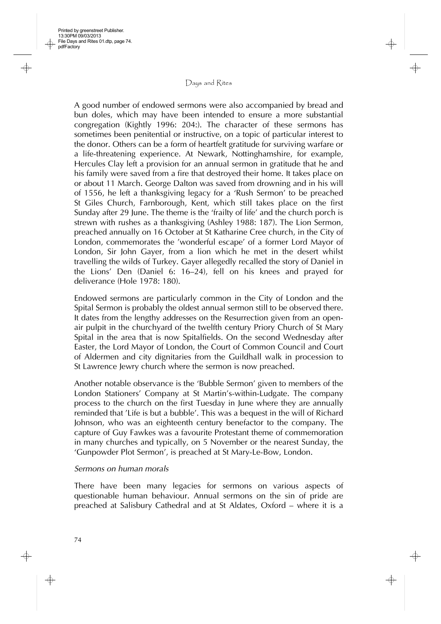A good number of endowed sermons were also accompanied by bread and bun doles, which may have been intended to ensure a more substantial congregation (Kightly 1996: 204:). The character of these sermons has sometimes been penitential or instructive, on a topic of particular interest to the donor. Others can be a form of heartfelt gratitude for surviving warfare or a life-threatening experience. At Newark, Nottinghamshire, for example, Hercules Clay left a provision for an annual sermon in gratitude that he and his family were saved from a fire that destroyed their home. It takes place on or about 11 March. George Dalton was saved from drowning and in his will of 1556, he left a thanksgiving legacy for a 'Rush Sermon' to be preached St Giles Church, Farnborough, Kent, which still takes place on the first Sunday after 29 June. The theme is the 'frailty of life' and the church porch is strewn with rushes as a thanksgiving (Ashley 1988: 187). The Lion Sermon, preached annually on 16 October at St Katharine Cree church, in the City of London, commemorates the 'wonderful escape' of a former Lord Mayor of London, Sir John Gayer, from a lion which he met in the desert whilst travelling the wilds of Turkey. Gayer allegedly recalled the story of Daniel in the Lions' Den (Daniel 6: 16–24), fell on his knees and prayed for deliverance (Hole 1978: 180).

Endowed sermons are particularly common in the City of London and the Spital Sermon is probably the oldest annual sermon still to be observed there. It dates from the lengthy addresses on the Resurrection given from an openair pulpit in the churchyard of the twelfth century Priory Church of St Mary Spital in the area that is now Spitalfields. On the second Wednesday after Easter, the Lord Mayor of London, the Court of Common Council and Court of Aldermen and city dignitaries from the Guildhall walk in procession to St Lawrence Jewry church where the sermon is now preached.

Another notable observance is the 'Bubble Sermon' given to members of the London Stationers' Company at St Martin's-within-Ludgate. The company process to the church on the first Tuesday in June where they are annually reminded that 'Life is but a bubble'. This was a bequest in the will of Richard Johnson, who was an eighteenth century benefactor to the company. The capture of Guy Fawkes was a favourite Protestant theme of commemoration in many churches and typically, on 5 November or the nearest Sunday, the 'Gunpowder Plot Sermon', is preached at St Mary-Le-Bow, London.

## *Sermons on human morals*

There have been many legacies for sermons on various aspects of questionable human behaviour. Annual sermons on the sin of pride are preached at Salisbury Cathedral and at St Aldates, Oxford – where it is a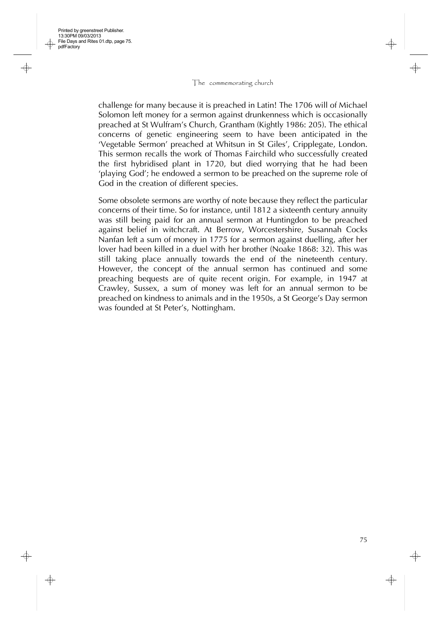Printed by greenstreet Publisher. 13:30PM 09/03/2013 File Days and Rites 01.dtp, page 75.

pdfFactory

challenge for many because it is preached in Latin! The 1706 will of Michael Solomon left money for a sermon against drunkenness which is occasionally preached at St Wulfram's Church, Grantham (Kightly 1986: 205). The ethical concerns of genetic engineering seem to have been anticipated in the 'Vegetable Sermon' preached at Whitsun in St Giles', Cripplegate, London. This sermon recalls the work of Thomas Fairchild who successfully created the first hybridised plant in 1720, but died worrying that he had been 'playing God'; he endowed a sermon to be preached on the supreme role of God in the creation of different species.

Some obsolete sermons are worthy of note because they reflect the particular concerns of their time. So for instance, until 1812 a sixteenth century annuity was still being paid for an annual sermon at Huntingdon to be preached against belief in witchcraft. At Berrow, Worcestershire, Susannah Cocks Nanfan left a sum of money in 1775 for a sermon against duelling, after her lover had been killed in a duel with her brother (Noake 1868: 32). This was still taking place annually towards the end of the nineteenth century. However, the concept of the annual sermon has continued and some preaching bequests are of quite recent origin. For example, in 1947 at Crawley, Sussex, a sum of money was left for an annual sermon to be preached on kindness to animals and in the 1950s, a St George's Day sermon was founded at St Peter's, Nottingham.

75